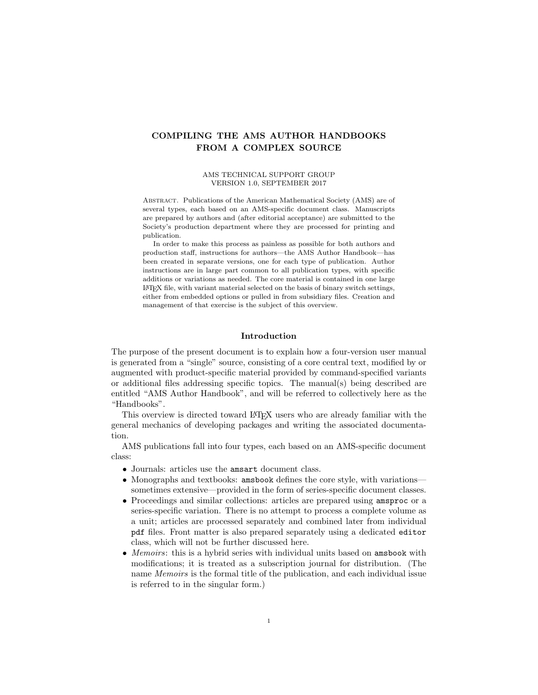# COMPILING THE AMS AUTHOR HANDBOOKS FROM A COMPLEX SOURCE

#### AMS TECHNICAL SUPPORT GROUP VERSION 1.0, SEPTEMBER 2017

Abstract. Publications of the American Mathematical Society (AMS) are of several types, each based on an AMS-specific document class. Manuscripts are prepared by authors and (after editorial acceptance) are submitted to the Society's production department where they are processed for printing and publication.

In order to make this process as painless as possible for both authors and production staff, instructions for authors—the AMS Author Handbook—has been created in separate versions, one for each type of publication. Author instructions are in large part common to all publication types, with specific additions or variations as needed. The core material is contained in one large LATEX file, with variant material selected on the basis of binary switch settings, either from embedded options or pulled in from subsidiary files. Creation and management of that exercise is the subject of this overview.

## <span id="page-0-0"></span>Introduction

The purpose of the present document is to explain how a four-version user manual is generated from a "single" source, consisting of a core central text, modified by or augmented with product-specific material provided by command-specified variants or additional files addressing specific topics. The manual(s) being described are entitled "AMS Author Handbook", and will be referred to collectively here as the "Handbooks".

This overview is directed toward LAT<sub>EX</sub> users who are already familiar with the general mechanics of developing packages and writing the associated documentation.

AMS publications fall into four types, each based on an AMS-specific document class:

- Journals: articles use the amsart document class.
- Monographs and textbooks: amsbook defines the core style, with variations sometimes extensive—provided in the form of series-specific document classes.
- Proceedings and similar collections: articles are prepared using amsproc or a series-specific variation. There is no attempt to process a complete volume as a unit; articles are processed separately and combined later from individual pdf files. Front matter is also prepared separately using a dedicated editor class, which will not be further discussed here.
- Memoirs: this is a hybrid series with individual units based on amsbook with modifications; it is treated as a subscription journal for distribution. (The name Memoirs is the formal title of the publication, and each individual issue is referred to in the singular form.)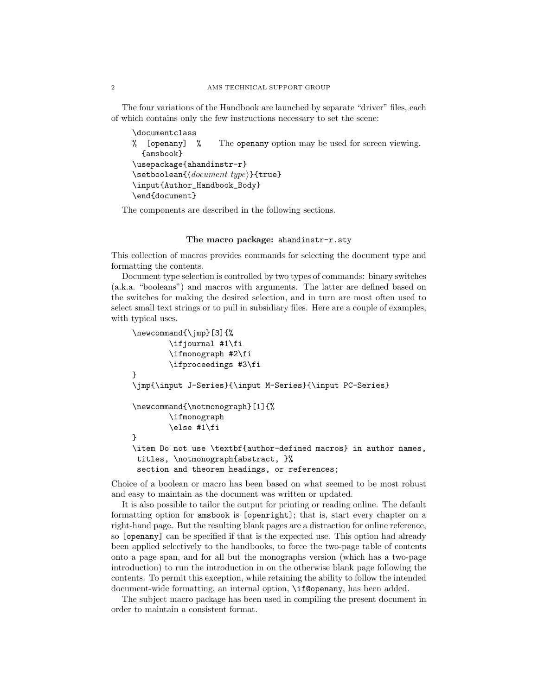The four variations of the Handbook are launched by separate "driver" files, each of which contains only the few instructions necessary to set the scene:

```
\documentclass
% [openany] % The openany option may be used for screen viewing.
  {amsbook}
\usepackage{ahandinstr-r}
\setminussetboolean{\langle document\ type \rangle}{ttrue}\input{Author_Handbook_Body}
\end{document}
```
The components are described in the following sections.

#### The macro package: ahandinstr-r.sty

This collection of macros provides commands for selecting the document type and formatting the contents.

Document type selection is controlled by two types of commands: binary switches (a.k.a. "booleans") and macros with arguments. The latter are defined based on the switches for making the desired selection, and in turn are most often used to select small text strings or to pull in subsidiary files. Here are a couple of examples, with typical uses.

```
\newcommand{\jmp}[3]{%
        \ifjournal #1\fi
        \ifmonograph #2\fi
        \ifproceedings #3\fi
}
\jmp{\input J-Series}{\input M-Series}{\input PC-Series}
\newcommand{\notmonograph}[1]{%
        \ifmonograph
        \else #1\fi
}
\item Do not use \textbf{author-defined macros} in author names,
 titles, \notmonograph{abstract, }%
 section and theorem headings, or references;
```
Choice of a boolean or macro has been based on what seemed to be most robust and easy to maintain as the document was written or updated.

It is also possible to tailor the output for printing or reading online. The default formatting option for amsbook is [openright]; that is, start every chapter on a right-hand page. But the resulting blank pages are a distraction for online reference, so [openany] can be specified if that is the expected use. This option had already been applied selectively to the handbooks, to force the two-page table of contents onto a page span, and for all but the monographs version (which has a two-page introduction) to run the introduction in on the otherwise blank page following the contents. To permit this exception, while retaining the ability to follow the intended document-wide formatting, an internal option, \if@openany, has been added.

The subject macro package has been used in compiling the present document in order to maintain a consistent format.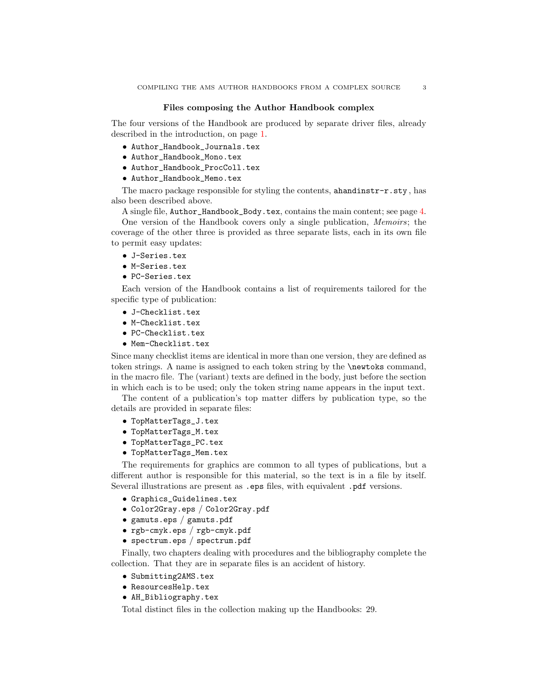#### Files composing the Author Handbook complex

The four versions of the Handbook are produced by separate driver files, already described in the introduction, on page [1.](#page-0-0)

- Author\_Handbook\_Journals.tex
- Author\_Handbook\_Mono.tex
- Author\_Handbook\_ProcColl.tex
- Author\_Handbook\_Memo.tex

The macro package responsible for styling the contents, ahandinstr-r.sty, has also been described above.

A single file, Author\_Handbook\_Body.tex, contains the main content; see page [4.](#page-3-0) One version of the Handbook covers only a single publication, Memoirs; the coverage of the other three is provided as three separate lists, each in its own file to permit easy updates:

- J-Series.tex
- M-Series.tex
- PC-Series.tex

Each version of the Handbook contains a list of requirements tailored for the specific type of publication:

- J-Checklist.tex
- M-Checklist.tex
- PC-Checklist.tex
- Mem-Checklist.tex

Since many checklist items are identical in more than one version, they are defined as token strings. A name is assigned to each token string by the \newtoks command, in the macro file. The (variant) texts are defined in the body, just before the section in which each is to be used; only the token string name appears in the input text.

The content of a publication's top matter differs by publication type, so the details are provided in separate files:

- TopMatterTags\_J.tex
- TopMatterTags\_M.tex
- TopMatterTags\_PC.tex
- TopMatterTags\_Mem.tex

The requirements for graphics are common to all types of publications, but a different author is responsible for this material, so the text is in a file by itself. Several illustrations are present as .eps files, with equivalent .pdf versions.

- Graphics\_Guidelines.tex
- Color2Gray.eps / Color2Gray.pdf
- gamuts.eps / gamuts.pdf
- rgb-cmyk.eps / rgb-cmyk.pdf
- spectrum.eps / spectrum.pdf

Finally, two chapters dealing with procedures and the bibliography complete the collection. That they are in separate files is an accident of history.

- Submitting2AMS.tex
- ResourcesHelp.tex
- AH\_Bibliography.tex

Total distinct files in the collection making up the Handbooks: 29.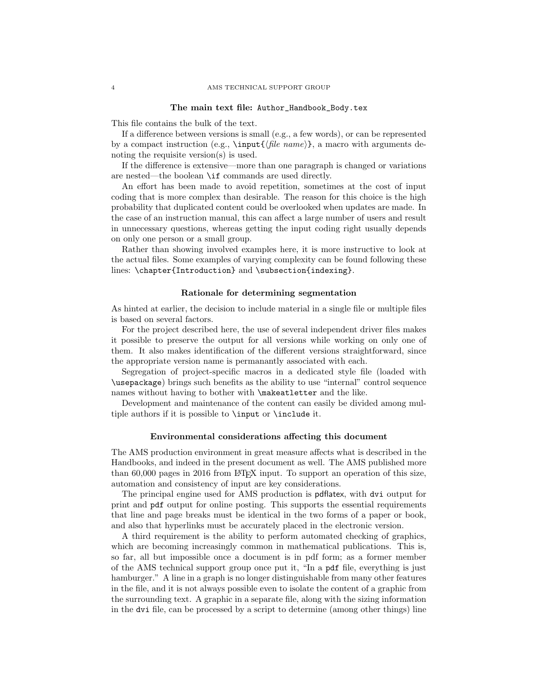#### <span id="page-3-0"></span>The main text file: Author\_Handbook\_Body.tex

This file contains the bulk of the text.

If a difference between versions is small (e.g., a few words), or can be represented by a compact instruction (e.g.,  $\in{\mathcal{h}le name}$ , a macro with arguments denoting the requisite version(s) is used.

If the difference is extensive—more than one paragraph is changed or variations are nested—the boolean \if commands are used directly.

An effort has been made to avoid repetition, sometimes at the cost of input coding that is more complex than desirable. The reason for this choice is the high probability that duplicated content could be overlooked when updates are made. In the case of an instruction manual, this can affect a large number of users and result in unnecessary questions, whereas getting the input coding right usually depends on only one person or a small group.

Rather than showing involved examples here, it is more instructive to look at the actual files. Some examples of varying complexity can be found following these lines: \chapter{Introduction} and \subsection{indexing}.

# Rationale for determining segmentation

As hinted at earlier, the decision to include material in a single file or multiple files is based on several factors.

For the project described here, the use of several independent driver files makes it possible to preserve the output for all versions while working on only one of them. It also makes identification of the different versions straightforward, since the appropriate version name is permanantly associated with each.

Segregation of project-specific macros in a dedicated style file (loaded with \usepackage) brings such benefits as the ability to use "internal" control sequence names without having to bother with \makeatletter and the like.

Development and maintenance of the content can easily be divided among multiple authors if it is possible to \input or \include it.

#### Environmental considerations affecting this document

The AMS production environment in great measure affects what is described in the Handbooks, and indeed in the present document as well. The AMS published more than 60,000 pages in 2016 from LAT<sub>E</sub>X input. To support an operation of this size, automation and consistency of input are key considerations.

The principal engine used for AMS production is pdflatex, with dvi output for print and pdf output for online posting. This supports the essential requirements that line and page breaks must be identical in the two forms of a paper or book, and also that hyperlinks must be accurately placed in the electronic version.

A third requirement is the ability to perform automated checking of graphics, which are becoming increasingly common in mathematical publications. This is, so far, all but impossible once a document is in pdf form; as a former member of the AMS technical support group once put it, "In a pdf file, everything is just hamburger." A line in a graph is no longer distinguishable from many other features in the file, and it is not always possible even to isolate the content of a graphic from the surrounding text. A graphic in a separate file, along with the sizing information in the dvi file, can be processed by a script to determine (among other things) line